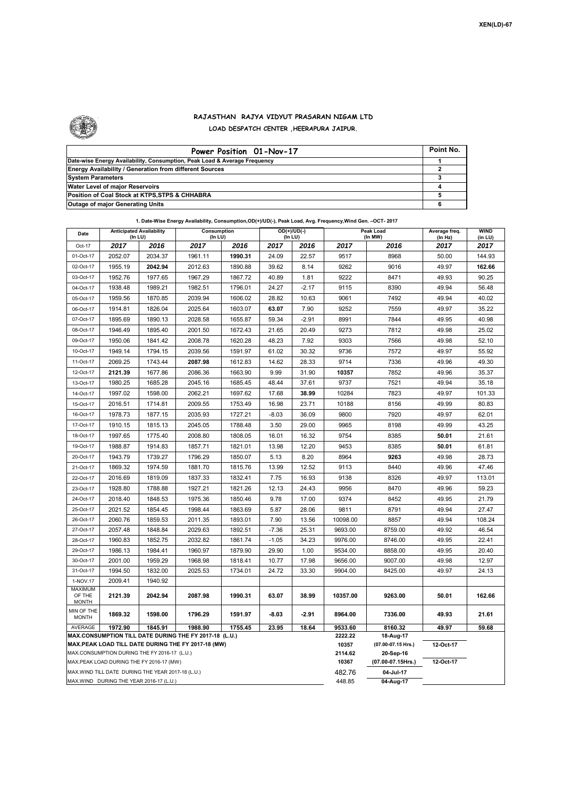

## **RAJASTHAN RAJYA VIDYUT PRASARAN NIGAM LTD LOAD DESPATCH CENTER ,HEERAPURA JAIPUR.**

| Power Position 01-Nov-17                                                  | Point No. |
|---------------------------------------------------------------------------|-----------|
| Date-wise Energy Availability, Consumption, Peak Load & Average Frequency |           |
| <b>Energy Availability / Generation from different Sources</b>            |           |
| <b>System Parameters</b>                                                  |           |
| Water Level of major Reservoirs                                           |           |
| Position of Coal Stock at KTPS, STPS & CHHABRA                            |           |
| <b>Outage of major Generating Units</b>                                   |           |

|                                                                                                              | 1. Date-Wise Energy Availability, Consumption, OD(+)/UD(-), Peak Load, Avg. Frequency, Wind Gen. - OCT- 2017 |         |                        |         |                                |         |                    |                                 |                          |                        |  |  |
|--------------------------------------------------------------------------------------------------------------|--------------------------------------------------------------------------------------------------------------|---------|------------------------|---------|--------------------------------|---------|--------------------|---------------------------------|--------------------------|------------------------|--|--|
| Date                                                                                                         | <b>Anticipated Availability</b><br>(In LU)                                                                   |         | Consumption<br>(In LU) |         | $OD(+)/UD(-)$<br>$($ In LU $)$ |         |                    | Peak Load<br>(In MW)            | Average freq.<br>(In Hz) | <b>WIND</b><br>(in LU) |  |  |
| Oct-17                                                                                                       | 2017                                                                                                         | 2016    | 2017                   | 2016    | 2017                           | 2016    | 2017               | 2016                            | 2017                     | 2017                   |  |  |
| 01-Oct-17                                                                                                    | 2052.07                                                                                                      | 2034.37 | 1961.11                | 1990.31 | 24.09                          | 22.57   | 9517               | 8968                            | 50.00                    | 144.93                 |  |  |
| 02-Oct-17                                                                                                    | 1955.19                                                                                                      | 2042.94 | 2012.63                | 1890.88 | 39.62                          | 8.14    | 9262               | 9016                            | 49.97                    | 162.66                 |  |  |
| 03-Oct-17                                                                                                    | 1952.76                                                                                                      | 1977.65 | 1967.29                | 1867.72 | 40.89                          | 1.81    | 9222               | 8471                            | 49.93                    | 90.25                  |  |  |
| 04-Oct-17                                                                                                    | 1938.48                                                                                                      | 1989.21 | 1982.51                | 1796.01 | 24.27                          | $-2.17$ | 9115               | 8390                            | 49.94                    | 56.48                  |  |  |
| 05-Oct-17                                                                                                    | 1959.56                                                                                                      | 1870.85 | 2039.94                | 1606.02 | 28.82                          | 10.63   | 9061               | 7492                            | 49.94                    | 40.02                  |  |  |
| 06-Oct-17                                                                                                    | 1914.81                                                                                                      | 1826.04 | 2025.64                | 1603.07 | 63.07                          | 7.90    | 9252               | 7559                            | 49.97                    | 35.22                  |  |  |
| 07-Oct-17                                                                                                    | 1895.69                                                                                                      | 1890.13 | 2028.58                | 1655.87 | 59.34                          | $-2.91$ | 8991               | 7844                            | 49.95                    | 40.98                  |  |  |
| 08-Oct-17                                                                                                    | 1946.49                                                                                                      | 1895.40 | 2001.50                | 1672.43 | 21.65                          | 20.49   | 9273               | 7812                            | 49.98                    | 25.02                  |  |  |
| 09-Oct-17                                                                                                    | 1950.06                                                                                                      | 1841.42 | 2008.78                | 1620.28 | 48.23                          | 7.92    | 9303               | 7566                            | 49.98                    | 52.10                  |  |  |
| 10-Oct-17                                                                                                    | 1949.14                                                                                                      | 1794.15 | 2039.56                | 1591.97 | 61.02                          | 30.32   | 9736               | 7572                            | 49.97                    | 55.92                  |  |  |
| 11-Oct-17                                                                                                    | 2069.25                                                                                                      | 1743.44 | 2087.98                | 1612.83 | 14.62                          | 28.33   | 9714               | 7336                            | 49.96                    | 49.30                  |  |  |
| 12-Oct-17                                                                                                    | 2121.39                                                                                                      | 1677.86 | 2086.36                | 1663.90 | 9.99                           | 31.90   | 10357              | 7852                            | 49.96                    | 35.37                  |  |  |
| 13-Oct-17                                                                                                    | 1980.25                                                                                                      | 1685.28 | 2045.16                | 1685.45 | 48.44                          | 37.61   | 9737               | 7521                            | 49.94                    | 35.18                  |  |  |
| 14-Oct-17                                                                                                    | 1997.02                                                                                                      | 1598.00 | 2062.21                | 1697.62 | 17.68                          | 38.99   | 10284              | 7823                            | 49.97                    | 101.33                 |  |  |
| 15-Oct-17                                                                                                    | 2016.51                                                                                                      | 1714.81 | 2009.55                | 1753.49 | 16.98                          | 23.71   | 10188              | 8156                            | 49.99                    | 80.83                  |  |  |
| 16-Oct-17                                                                                                    | 1978.73                                                                                                      | 1877.15 | 2035.93                | 1727.21 | $-8.03$                        | 36.09   | 9800               | 7920                            | 49.97                    | 62.01                  |  |  |
| 17-Oct-17                                                                                                    | 1910.15                                                                                                      | 1815.13 | 2045.05                | 1788.48 | 3.50                           | 29.00   | 9965               | 8198                            | 49.99                    | 43.25                  |  |  |
| 18-Oct-17                                                                                                    | 1997.65                                                                                                      | 1775.40 | 2008.80                | 1808.05 | 16.01                          | 16.32   | 9754               | 8385                            | 50.01                    | 21.61                  |  |  |
| 19-Oct-17                                                                                                    | 1988.87                                                                                                      | 1914.83 | 1857.71                | 1821.01 | 13.98                          | 12.20   | 9453               | 8385                            | 50.01                    | 61.81                  |  |  |
| 20-Oct-17                                                                                                    | 1943.79                                                                                                      | 1739.27 | 1796.29                | 1850.07 | 5.13                           | 8.20    | 8964               | 9263                            | 49.98                    | 28.73                  |  |  |
| 21-Oct-17                                                                                                    | 1869.32                                                                                                      | 1974.59 | 1881.70                | 1815.76 | 13.99                          | 12.52   | 9113               | 8440                            | 49.96                    | 47.46                  |  |  |
| 22-Oct-17                                                                                                    | 2016.69                                                                                                      | 1819.09 | 1837.33                | 1832.41 | 7.75                           | 16.93   | 9138               | 8326                            | 49.97                    | 113.01                 |  |  |
| 23-Oct-17                                                                                                    | 1928.80                                                                                                      | 1788.88 | 1927.21                | 1821.26 | 12.13                          | 24.43   | 9956               | 8470                            | 49.96                    | 59.23                  |  |  |
| 24-Oct-17                                                                                                    | 2018.40                                                                                                      | 1848.53 | 1975.36                | 1850.46 | 9.78                           | 17.00   | 9374               | 8452                            | 49.95                    | 21.79                  |  |  |
| 25-Oct-17                                                                                                    | 2021.52                                                                                                      | 1854.45 | 1998.44                | 1863.69 | 5.87                           | 28.06   | 9811               | 8791                            | 49.94                    | 27.47                  |  |  |
| 26-Oct-17                                                                                                    | 2060.76                                                                                                      | 1859.53 | 2011.35                | 1893.01 | 7.90                           | 13.56   | 10098.00           | 8857                            | 49.94                    | 108.24                 |  |  |
| 27-Oct-17                                                                                                    | 2057.48                                                                                                      | 1848.84 | 2029.63                | 1892.51 | $-7.36$                        | 25.31   | 9693.00            | 8759.00                         | 49.92                    | 46.54                  |  |  |
| 28-Oct-17                                                                                                    | 1960.83                                                                                                      | 1852.75 | 2032.82                | 1861.74 | $-1.05$                        | 34.23   | 9976.00            | 8746.00                         | 49.95                    | 22.41                  |  |  |
| 29-Oct-17                                                                                                    | 1986.13                                                                                                      | 1984.41 | 1960.97                | 1879.90 | 29.90                          | 1.00    | 9534.00            | 8858.00                         | 49.95                    | 20.40                  |  |  |
| 30-Oct-17                                                                                                    | 2001.00                                                                                                      | 1959.29 | 1968.98                | 1818.41 | 10.77                          | 17.98   | 9656.00            | 9007.00                         | 49.98                    | 12.97                  |  |  |
| 31-Oct-17                                                                                                    | 1994.50                                                                                                      | 1832.00 | 2025.53                | 1734.01 | 24.72                          | 33.30   | 9904.00            | 8425.00                         | 49.97                    | 24.13                  |  |  |
| 1-NOV.17                                                                                                     | 2009.41                                                                                                      | 1940.92 |                        |         |                                |         |                    |                                 |                          |                        |  |  |
| MAXIMUM<br>OF THE<br><b>MONTH</b>                                                                            | 2121.39                                                                                                      | 2042.94 | 2087.98                | 1990.31 | 63.07                          | 38.99   | 10357.00           | 9263.00                         | 50.01                    | 162.66                 |  |  |
| MIN OF THE<br><b>MONTH</b>                                                                                   | 1869.32                                                                                                      | 1598.00 | 1796.29                | 1591.97 | -8.03                          | $-2.91$ | 8964.00            | 7336.00                         | 49.93                    | 21.61                  |  |  |
| AVERAGE                                                                                                      | 1972.90                                                                                                      | 1845.91 | 1988.90                | 1755.45 | 23.95                          | 18.64   | 9533.60<br>2222.22 | 8160.32                         | 49.97                    | 59.68                  |  |  |
| MAX.CONSUMPTION TILL DATE DURING THE FY 2017-18 (L.U.)<br>MAX.PEAK LOAD TILL DATE DURING THE FY 2017-18 (MW) |                                                                                                              |         |                        |         |                                |         |                    | 18-Aug-17<br>(07.00-07.15 Hrs.) | 12-Oct-17                |                        |  |  |
| MAX.CONSUMPTION DURING THE FY 2016-17 (L.U.)                                                                 |                                                                                                              |         |                        |         |                                |         | 10357<br>2114.62   | 20-Sep-16                       |                          |                        |  |  |
|                                                                                                              | MAX.PEAK LOAD DURING THE FY 2016-17 (MW)                                                                     |         |                        |         |                                |         | 10367              | (07.00-07.15Hrs.)               | 12-Oct-17                |                        |  |  |
| MAX. WIND TILL DATE DURING THE YEAR 2017-18 (L.U.)                                                           |                                                                                                              |         |                        |         |                                |         | 482.76             | 04-Jul-17                       |                          |                        |  |  |
|                                                                                                              | MAX.WIND DURING THE YEAR 2016-17 (L.U.)                                                                      |         |                        | 448.85  | 04-Aug-17                      |         |                    |                                 |                          |                        |  |  |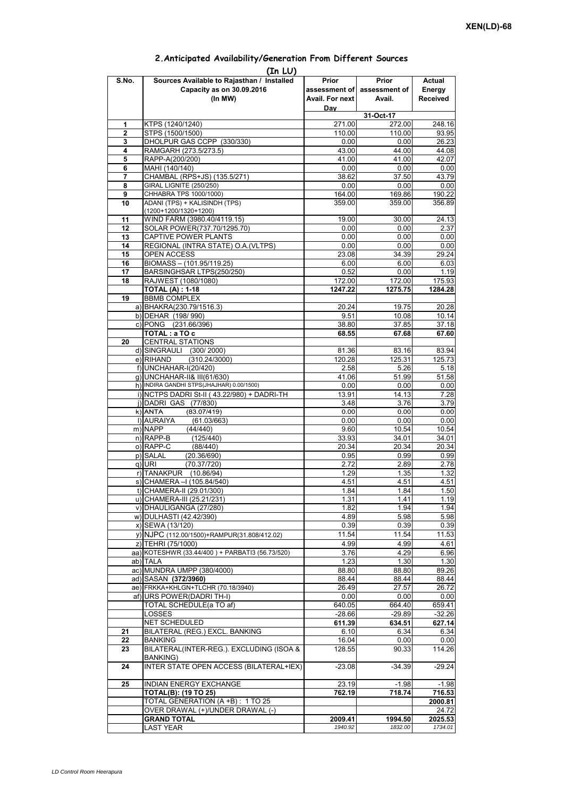| (In LU)        |                                                 |                 |                             |                 |  |  |  |  |  |  |
|----------------|-------------------------------------------------|-----------------|-----------------------------|-----------------|--|--|--|--|--|--|
| S.No.          | Sources Available to Rajasthan / Installed      | Prior           | Prior                       | Actual          |  |  |  |  |  |  |
|                | Capacity as on 30.09.2016                       |                 | assessment of assessment of | Energy          |  |  |  |  |  |  |
|                | (In MW)                                         | Avail. For next | Avail.                      | <b>Received</b> |  |  |  |  |  |  |
|                |                                                 | Day             |                             |                 |  |  |  |  |  |  |
|                |                                                 |                 | 31-Oct-17                   |                 |  |  |  |  |  |  |
| 1              | KTPS (1240/1240)                                | 271.00          | 272.00                      | 248.16          |  |  |  |  |  |  |
| $\overline{2}$ | STPS (1500/1500)                                | 110.00          | 110.00                      | 93.95           |  |  |  |  |  |  |
| 3              | DHOLPUR GAS CCPP (330/330)                      | 0.00            | 0.00                        | 26.23           |  |  |  |  |  |  |
| 4              | RAMGARH (273.5/273.5)                           | 43.00           | 44.00                       | 44.08           |  |  |  |  |  |  |
| 5              | RAPP-A(200/200)                                 | 41.00           | 41.00                       | 42.07           |  |  |  |  |  |  |
| 6              | MAHI (140/140)                                  | 0.00            | 0.00                        | 0.00            |  |  |  |  |  |  |
| 7              | CHAMBAL (RPS+JS) (135.5/271)                    | 38.62           | 37.50                       | 43.79           |  |  |  |  |  |  |
| 8              | <b>GIRAL LIGNITE (250/250)</b>                  | 0.00            | 0.00                        | 0.00            |  |  |  |  |  |  |
| 9              | CHHABRA TPS 1000/1000)                          | 164.00          | 169.86                      | 190.22          |  |  |  |  |  |  |
| 10             | ADANI (TPS) + KALISINDH (TPS)                   | 359.00          | 359.00                      | 356.89          |  |  |  |  |  |  |
|                | (1200+1200/1320+1200)                           |                 |                             |                 |  |  |  |  |  |  |
| 11             | WIND FARM (3980.40/4119.15)                     | 19.00           | 30.00                       | 24.13           |  |  |  |  |  |  |
| 12             | SOLAR POWER(737.70/1295.70)                     | 0.00            | 0.00                        | 2.37            |  |  |  |  |  |  |
| 13             | CAPTIVE POWER PLANTS                            | 0.00            | 0.00                        | 0.00            |  |  |  |  |  |  |
| 14             | REGIONAL (INTRA STATE) O.A. (VLTPS)             | 0.00            | 0.00                        | 0.00            |  |  |  |  |  |  |
| 15             | OPEN ACCESS                                     | 23.08           | 34.39                       | 29.24           |  |  |  |  |  |  |
| 16             | BIOMASS - (101.95/119.25)                       | 6.00            | 6.00                        | 6.03            |  |  |  |  |  |  |
| 17             | BARSINGHSAR LTPS(250/250)                       | 0.52            | 0.00                        | 1.19            |  |  |  |  |  |  |
| 18             | RAJWEST (1080/1080)                             | 172.00          | 172.00                      | 175.93          |  |  |  |  |  |  |
|                | <b>TOTAL (A): 1-18</b>                          | 1247.22         | 1275.75                     | 1284.28         |  |  |  |  |  |  |
| 19             | <b>BBMB COMPLEX</b>                             |                 |                             |                 |  |  |  |  |  |  |
|                | a) BHAKRA(230.79/1516.3)                        | 20.24           | 19.75                       | 20.28           |  |  |  |  |  |  |
|                | b) DEHAR (198/990)                              | 9.51            | 10.08                       | 10.14           |  |  |  |  |  |  |
|                | c) PONG (231.66/396)                            | 38.80           | 37.85                       | 37.18           |  |  |  |  |  |  |
|                | TOTAL: a TO c                                   | 68.55           | 67.68                       | 67.60           |  |  |  |  |  |  |
| 20             | <b>CENTRAL STATIONS</b>                         |                 |                             |                 |  |  |  |  |  |  |
|                | d) SINGRAULI (300/2000)                         | 81.36           | 83.16                       | 83.94           |  |  |  |  |  |  |
|                | e) RIHAND<br>(310.24/3000)                      | 120.28          | 125.31                      | 125.73          |  |  |  |  |  |  |
|                | f) UNCHAHAR-I(20/420)                           | 2.58            | 5.26                        | 5.18            |  |  |  |  |  |  |
|                | g) UNCHAHAR-II& III(61/630)                     | 41.06           | 51.99                       | 51.58           |  |  |  |  |  |  |
|                | h) INDIRA GANDHI STPS(JHAJHAR) 0.00/1500)       | 0.00            | 0.00                        | 0.00            |  |  |  |  |  |  |
|                | i) NCTPS DADRI St-II (43.22/980) + DADRI-TH     | 13.91           | 14.13                       | 7.28            |  |  |  |  |  |  |
|                | j) DADRI GAS (77/830)                           | 3.48            | 3.76                        | 3.79            |  |  |  |  |  |  |
|                | k) ANTA<br>(83.07/419)                          | 0.00            | 0.00                        | 0.00            |  |  |  |  |  |  |
|                | I) AURAIYA<br>(61.03/663)                       | 0.00            | 0.00                        | 0.00            |  |  |  |  |  |  |
|                | m) NAPP<br>(44/440)                             | 9.60            | 10.54                       | 10.54           |  |  |  |  |  |  |
|                | n) RAPP-B<br>(125/440)                          | 33.93           | 34.01                       | 34.01           |  |  |  |  |  |  |
|                | o) RAPP-C<br>(88/440)                           | 20.34           | 20.34                       | 20.34           |  |  |  |  |  |  |
|                | p) SALAL<br>(20.36/690)                         | 0.95            | 0.99                        | 0.99            |  |  |  |  |  |  |
|                | q) URI<br>(70.37/720)                           | 2.72            | 2.89                        | 2.78            |  |  |  |  |  |  |
|                | r) TANAKPUR (10.86/94)                          | 1.29            | 1.35                        | 1.32            |  |  |  |  |  |  |
|                | s) CHAMERA - (105.84/540)                       | 4.51            | 4.51                        | 4.51            |  |  |  |  |  |  |
|                | t) CHAMERA-II (29.01/300)                       | 1.84            | 1.84                        | 1.50            |  |  |  |  |  |  |
|                | u) CHAMERA-III (25.21/231)                      | 1.31            | 1.41                        | 1.19            |  |  |  |  |  |  |
|                | v) DHAULIGANGA (27/280)                         | 1.82            | 1.94                        | 1.94            |  |  |  |  |  |  |
|                | w) DULHASTI (42.42/390)                         | 4.89            | 5.98                        | 5.98            |  |  |  |  |  |  |
|                | x) SEWA (13/120)                                | 0.39            | 0.39                        | 0.39            |  |  |  |  |  |  |
|                | y) NJPC (112.00/1500) + RAMPUR(31.808/412.02)   | 11.54           | 11.54                       | 11.53           |  |  |  |  |  |  |
|                | z) TEHRI (75/1000)                              | 4.99            | 4.99                        | 4.61            |  |  |  |  |  |  |
|                | aa) KOTESHWR (33.44/400) + PARBATI3 (56.73/520) | 3.76            | 4.29                        | 6.96            |  |  |  |  |  |  |
|                | ab) TALA                                        | 1.23            | 1.30                        | 1.30            |  |  |  |  |  |  |
|                | ac) MUNDRA UMPP (380/4000)                      | 88.80           | 88.80                       | 89.26           |  |  |  |  |  |  |
|                | ad) SASAN (372/3960)                            | 88.44           | 88.44                       | 88.44           |  |  |  |  |  |  |
|                | ae) FRKKA+KHLGN+TLCHR (70.18/3940)              | 26.49           | 27.57                       | 26.72           |  |  |  |  |  |  |
|                | af) URS POWER(DADRI TH-I)                       | 0.00            | 0.00                        | 0.00            |  |  |  |  |  |  |
|                | TOTAL SCHEDULE(a TO af)                         | 640.05          | 664.40                      | 659.41          |  |  |  |  |  |  |
|                | LOSSES                                          | $-28.66$        | $-29.89$                    | $-32.26$        |  |  |  |  |  |  |
|                | NET SCHEDULED                                   | 611.39          | 634.51                      | 627.14          |  |  |  |  |  |  |
| 21             | BILATERAL (REG.) EXCL. BANKING                  | 6.10            | 6.34                        | 6.34            |  |  |  |  |  |  |
| 22             | <b>BANKING</b>                                  | 16.04           | 0.00                        | 0.00            |  |  |  |  |  |  |
| 23             | BILATERAL(INTER-REG.). EXCLUDING (ISOA &        | 128.55          | 90.33                       | 114.26          |  |  |  |  |  |  |
|                | BANKING)                                        |                 |                             |                 |  |  |  |  |  |  |
| 24             | INTER STATE OPEN ACCESS (BILATERAL+IEX)         | $-23.08$        | $-34.39$                    | $-29.24$        |  |  |  |  |  |  |
|                |                                                 |                 |                             |                 |  |  |  |  |  |  |
| 25             | INDIAN ENERGY EXCHANGE                          | 23.19           | $-1.98$                     | $-1.98$         |  |  |  |  |  |  |
|                | <b>TOTAL(B): (19 TO 25)</b>                     | 762.19          | 718.74                      | 716.53          |  |  |  |  |  |  |
|                | TOTAL GENERATION (A +B) : 1 TO 25               |                 |                             | 2000.81         |  |  |  |  |  |  |
|                | OVER DRAWAL (+)/UNDER DRAWAL (-)                |                 |                             | 24.72           |  |  |  |  |  |  |
|                | <b>GRAND TOTAL</b>                              | 2009.41         | 1994.50                     | 2025.53         |  |  |  |  |  |  |
|                | <b>LAST YEAR</b>                                | 1940.92         | 1832.00                     | 1734.01         |  |  |  |  |  |  |

## **2.Anticipated Availability/Generation From Different Sources**